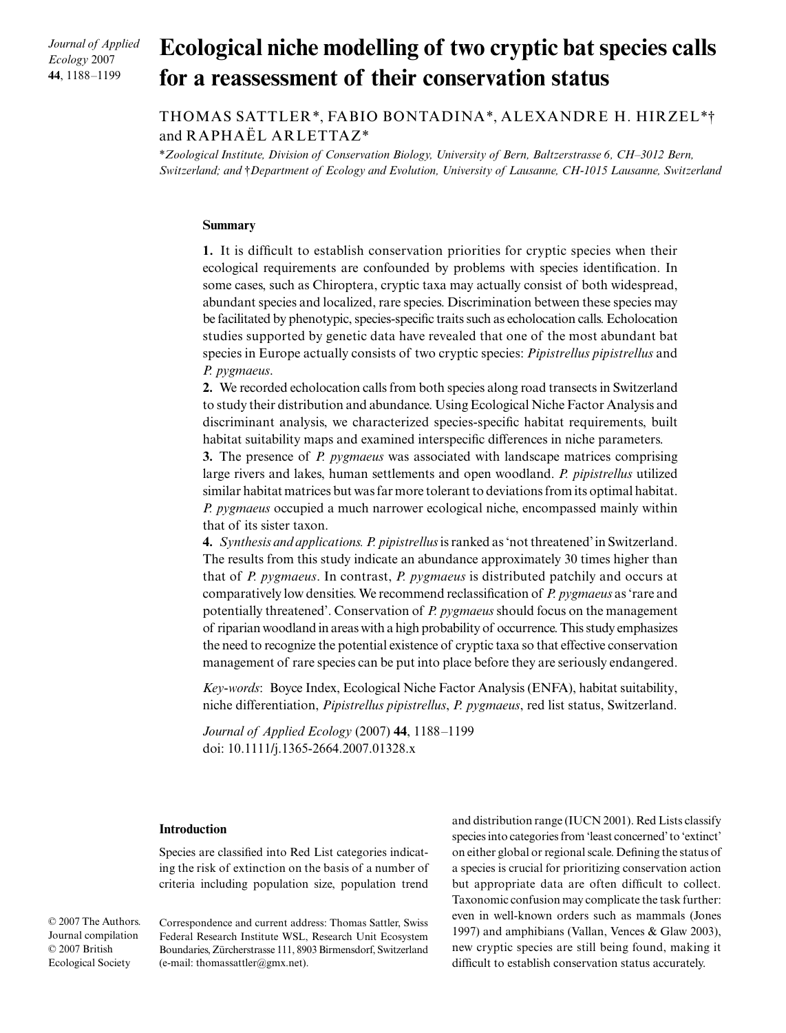*Journal of Applied Ecology* 2007 **44**, 1188–1199

# Ecological niche modelling of two cryptic bat species calls **for a reassessment of their conservation status**

# THOMAS SATTLER\*, FABIO BONTADINA\*, ALEXANDRE H. HIRZEL\*† and RAPHAËL ARLETTAZ\*

\**Zoological Institute, Division of Conservation Biology, University of Bern, Baltzerstrasse 6, CH–3012 Bern, Switzerland; and* †*Department of Ecology and Evolution, University of Lausanne, CH-1015 Lausanne, Switzerland*

# **Summary**

**1.** It is difficult to establish conservation priorities for cryptic species when their ecological requirements are confounded by problems with species identification. In some cases, such as Chiroptera, cryptic taxa may actually consist of both widespread, abundant species and localized, rare species. Discrimination between these species may be facilitated by phenotypic, species-specific traits such as echolocation calls. Echolocation studies supported by genetic data have revealed that one of the most abundant bat species in Europe actually consists of two cryptic species: *Pipistrellus pipistrellus* and *P. pygmaeus*.

**2.** We recorded echolocation calls from both species along road transects in Switzerland to study their distribution and abundance. Using Ecological Niche Factor Analysis and discriminant analysis, we characterized species-specific habitat requirements, built habitat suitability maps and examined interspecific differences in niche parameters.

**3.** The presence of *P. pygmaeus* was associated with landscape matrices comprising large rivers and lakes, human settlements and open woodland. *P. pipistrellus* utilized similar habitat matrices but was far more tolerant to deviations from its optimal habitat. *P. pygmaeus* occupied a much narrower ecological niche, encompassed mainly within that of its sister taxon.

**4.** *Synthesis and applications. P. pipistrellus* is ranked as 'not threatened' in Switzerland. The results from this study indicate an abundance approximately 30 times higher than that of *P. pygmaeus*. In contrast, *P. pygmaeus* is distributed patchily and occurs at comparatively low densities. We recommend reclassification of *P. pygmaeus* as 'rare and potentially threatened'. Conservation of *P. pygmaeus* should focus on the management of riparian woodland in areas with a high probability of occurrence. This study emphasizes the need to recognize the potential existence of cryptic taxa so that effective conservation management of rare species can be put into place before they are seriously endangered.

*Key-words*: Boyce Index, Ecological Niche Factor Analysis (ENFA), habitat suitability, niche differentiation, *Pipistrellus pipistrellus*, *P. pygmaeus*, red list status, Switzerland.

*Journal of Applied Ecology* (2007) **44**, 1188–1199 doi: 10.1111/j.1365-2664.2007.01328.x

# **Introduction**

Species are classified into Red List categories indicating the risk of extinction on the basis of a number of criteria including population size, population trend

© 2007 The Authors. Journal compilation © 2007 British Ecological Society

Correspondence and current address: Thomas Sattler, Swiss Federal Research Institute WSL, Research Unit Ecosystem Boundaries, Zürcherstrasse 111, 8903 Birmensdorf, Switzerland (e-mail: thomassattler@gmx.net).

and distribution range (IUCN 2001). Red Lists classify species into categories from 'least concerned' to 'extinct' on either global or regional scale. Defining the status of a species is crucial for prioritizing conservation action but appropriate data are often difficult to collect. Taxonomic confusion may complicate the task further: even in well-known orders such as mammals (Jones 1997) and amphibians (Vallan, Vences & Glaw 2003), new cryptic species are still being found, making it difficult to establish conservation status accurately.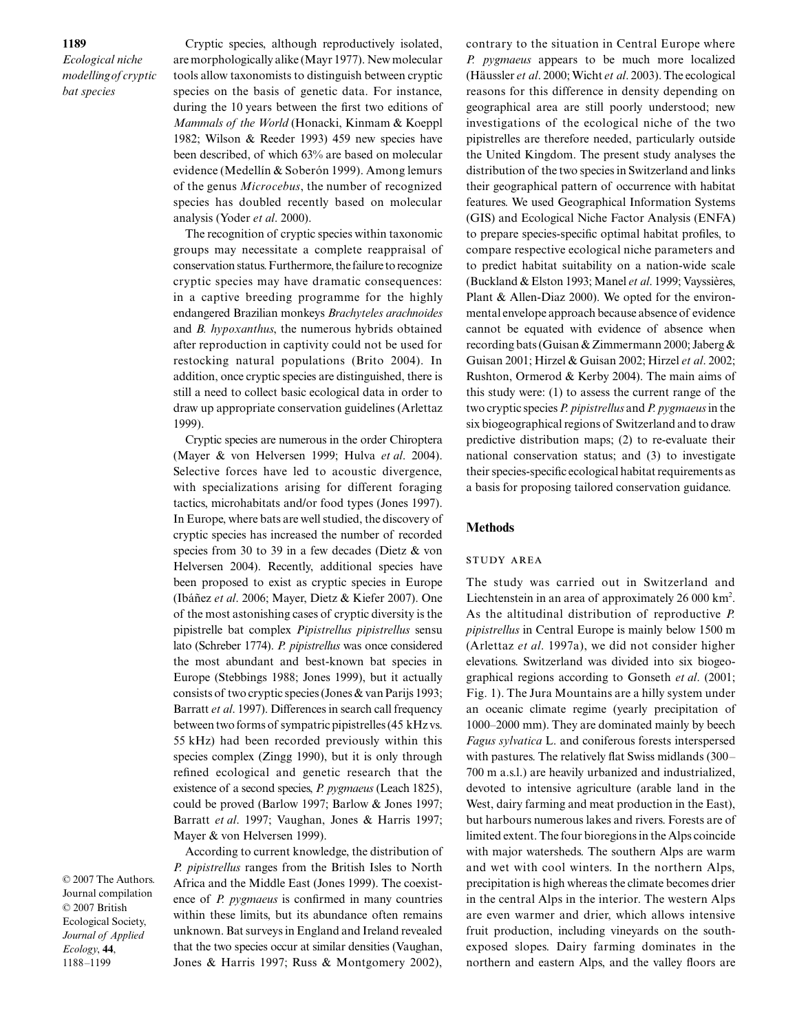Cryptic species, although reproductively isolated, are morphologically alike (Mayr 1977). New molecular tools allow taxonomists to distinguish between cryptic species on the basis of genetic data. For instance, during the 10 years between the first two editions of *Mammals of the World* (Honacki, Kinmam & Koeppl 1982; Wilson & Reeder 1993) 459 new species have been described, of which 63% are based on molecular evidence (Medellín & Soberón 1999). Among lemurs of the genus *Microcebus*, the number of recognized species has doubled recently based on molecular analysis (Yoder *et al*. 2000).

The recognition of cryptic species within taxonomic groups may necessitate a complete reappraisal of conservation status. Furthermore, the failure to recognize cryptic species may have dramatic consequences: in a captive breeding programme for the highly endangered Brazilian monkeys *Brachyteles arachnoides* and *B. hypoxanthus*, the numerous hybrids obtained after reproduction in captivity could not be used for restocking natural populations (Brito 2004). In addition, once cryptic species are distinguished, there is still a need to collect basic ecological data in order to draw up appropriate conservation guidelines (Arlettaz 1999).

Cryptic species are numerous in the order Chiroptera (Mayer & von Helversen 1999; Hulva *et al*. 2004). Selective forces have led to acoustic divergence, with specializations arising for different foraging tactics, microhabitats and/or food types (Jones 1997). In Europe, where bats are well studied, the discovery of cryptic species has increased the number of recorded species from 30 to 39 in a few decades (Dietz & von Helversen 2004). Recently, additional species have been proposed to exist as cryptic species in Europe (Ibáñez *et al*. 2006; Mayer, Dietz & Kiefer 2007). One of the most astonishing cases of cryptic diversity is the pipistrelle bat complex *Pipistrellus pipistrellus* sensu lato (Schreber 1774). *P. pipistrellus* was once considered the most abundant and best-known bat species in Europe (Stebbings 1988; Jones 1999), but it actually consists of two cryptic species (Jones & van Parijs 1993; Barratt *et al*. 1997). Differences in search call frequency between two forms of sympatric pipistrelles (45 kHz vs. 55 kHz) had been recorded previously within this species complex (Zingg 1990), but it is only through refined ecological and genetic research that the existence of a second species, *P. pygmaeus* (Leach 1825), could be proved (Barlow 1997; Barlow & Jones 1997; Barratt *et al*. 1997; Vaughan, Jones & Harris 1997; Mayer & von Helversen 1999).

© 2007 The Authors. Journal compilation © 2007 British Ecological Society, *Journal of Applied Ecology*, **44**, 1188–1199

According to current knowledge, the distribution of *P. pipistrellus* ranges from the British Isles to North Africa and the Middle East (Jones 1999). The coexistence of *P. pygmaeus* is confirmed in many countries within these limits, but its abundance often remains unknown. Bat surveys in England and Ireland revealed that the two species occur at similar densities (Vaughan, Jones & Harris 1997; Russ & Montgomery 2002),

contrary to the situation in Central Europe where *P. pygmaeus* appears to be much more localized (Häussler *et al*. 2000; Wicht *et al*. 2003). The ecological reasons for this difference in density depending on geographical area are still poorly understood; new investigations of the ecological niche of the two pipistrelles are therefore needed, particularly outside the United Kingdom. The present study analyses the distribution of the two species in Switzerland and links their geographical pattern of occurrence with habitat features. We used Geographical Information Systems (GIS) and Ecological Niche Factor Analysis (ENFA) to prepare species-specific optimal habitat profiles, to compare respective ecological niche parameters and to predict habitat suitability on a nation-wide scale (Buckland & Elston 1993; Manel *et al*. 1999; Vayssières, Plant & Allen-Diaz 2000). We opted for the environmental envelope approach because absence of evidence cannot be equated with evidence of absence when recording bats (Guisan & Zimmermann 2000; Jaberg & Guisan 2001; Hirzel & Guisan 2002; Hirzel *et al*. 2002; Rushton, Ormerod & Kerby 2004). The main aims of this study were: (1) to assess the current range of the two cryptic species *P. pipistrellus* and *P. pygmaeus* in the six biogeographical regions of Switzerland and to draw predictive distribution maps; (2) to re-evaluate their national conservation status; and (3) to investigate their species-specific ecological habitat requirements as a basis for proposing tailored conservation guidance.

# **Methods**

#### study area

The study was carried out in Switzerland and Liechtenstein in an area of approximately  $26000 \text{ km}^2$ . As the altitudinal distribution of reproductive *P. pipistrellus* in Central Europe is mainly below 1500 m (Arlettaz *et al*. 1997a), we did not consider higher elevations. Switzerland was divided into six biogeographical regions according to Gonseth *et al*. (2001; Fig. 1). The Jura Mountains are a hilly system under an oceanic climate regime (yearly precipitation of 1000–2000 mm). They are dominated mainly by beech *Fagus sylvatica* L. and coniferous forests interspersed with pastures. The relatively flat Swiss midlands (300– 700 m a.s.l.) are heavily urbanized and industrialized, devoted to intensive agriculture (arable land in the West, dairy farming and meat production in the East), but harbours numerous lakes and rivers. Forests are of limited extent. The four bioregions in the Alps coincide with major watersheds. The southern Alps are warm and wet with cool winters. In the northern Alps, precipitation is high whereas the climate becomes drier in the central Alps in the interior. The western Alps are even warmer and drier, which allows intensive fruit production, including vineyards on the southexposed slopes. Dairy farming dominates in the northern and eastern Alps, and the valley floors are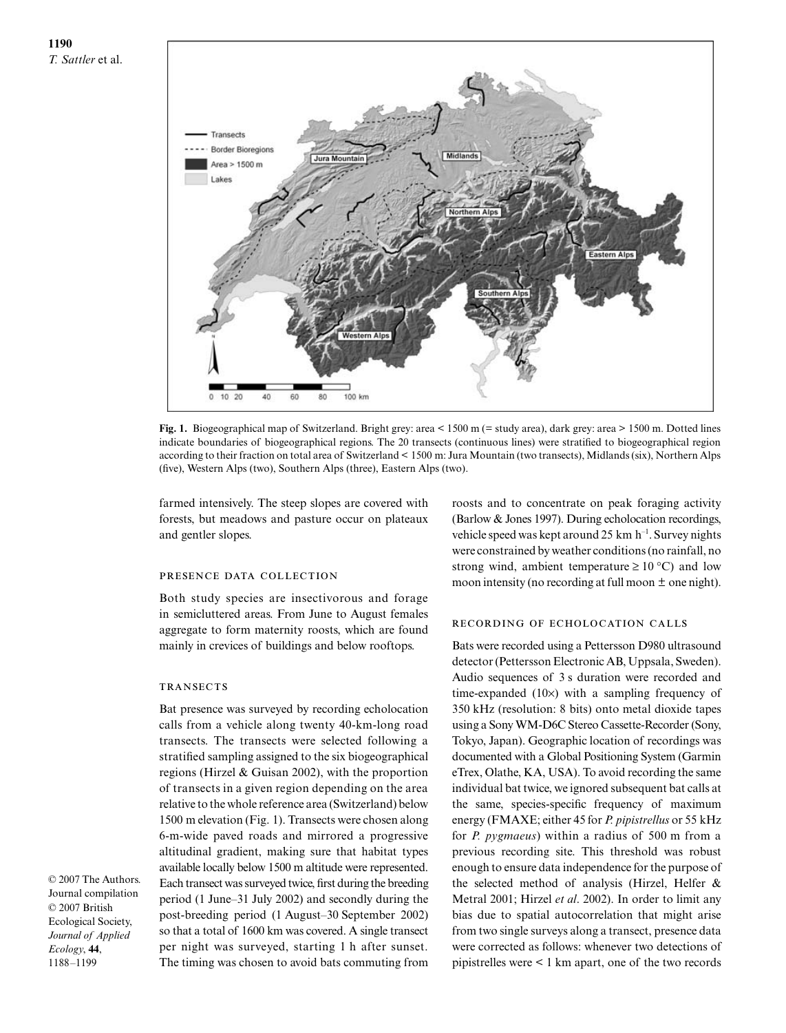

**Fig. 1.** Biogeographical map of Switzerland. Bright grey: area < 1500 m (= study area), dark grey: area > 1500 m. Dotted lines indicate boundaries of biogeographical regions. The 20 transects (continuous lines) were stratified to biogeographical region according to their fraction on total area of Switzerland < 1500 m: Jura Mountain (two transects), Midlands (six), Northern Alps (five), Western Alps (two), Southern Alps (three), Eastern Alps (two).

farmed intensively. The steep slopes are covered with forests, but meadows and pasture occur on plateaux and gentler slopes.

#### presence data collection

Both study species are insectivorous and forage in semicluttered areas. From June to August females aggregate to form maternity roosts, which are found mainly in crevices of buildings and below rooftops.

#### **TRANSECTS**

Bat presence was surveyed by recording echolocation calls from a vehicle along twenty 40-km-long road transects. The transects were selected following a stratified sampling assigned to the six biogeographical regions (Hirzel & Guisan 2002), with the proportion of transects in a given region depending on the area relative to the whole reference area (Switzerland) below 1500 m elevation (Fig. 1). Transects were chosen along 6-m-wide paved roads and mirrored a progressive altitudinal gradient, making sure that habitat types available locally below 1500 m altitude were represented. Each transect was surveyed twice, first during the breeding period (1 June–31 July 2002) and secondly during the post-breeding period (1 August–30 September 2002) so that a total of 1600 km was covered. A single transect per night was surveyed, starting 1 h after sunset. The timing was chosen to avoid bats commuting from

roosts and to concentrate on peak foraging activity (Barlow & Jones 1997). During echolocation recordings, vehicle speed was kept around 25 km  $h^{-1}$ . Survey nights were constrained by weather conditions (no rainfall, no strong wind, ambient temperature  $\geq 10^{\circ}$  C) and low moon intensity (no recording at full moon  $\pm$  one night).

# recording of echolocation calls

Bats were recorded using a Pettersson D980 ultrasound detector (Pettersson Electronic AB, Uppsala, Sweden). Audio sequences of 3 s duration were recorded and time-expanded (10×) with a sampling frequency of 350 kHz (resolution: 8 bits) onto metal dioxide tapes using a Sony WM-D6C Stereo Cassette-Recorder (Sony, Tokyo, Japan). Geographic location of recordings was documented with a Global Positioning System (Garmin eTrex, Olathe, KA, USA). To avoid recording the same individual bat twice, we ignored subsequent bat calls at the same, species-specific frequency of maximum energy (FMAXE; either 45 for *P. pipistrellus* or 55 kHz for *P. pygmaeus*) within a radius of 500 m from a previous recording site. This threshold was robust enough to ensure data independence for the purpose of the selected method of analysis (Hirzel, Helfer & Metral 2001; Hirzel *et al*. 2002). In order to limit any bias due to spatial autocorrelation that might arise from two single surveys along a transect, presence data were corrected as follows: whenever two detections of pipistrelles were < 1 km apart, one of the two records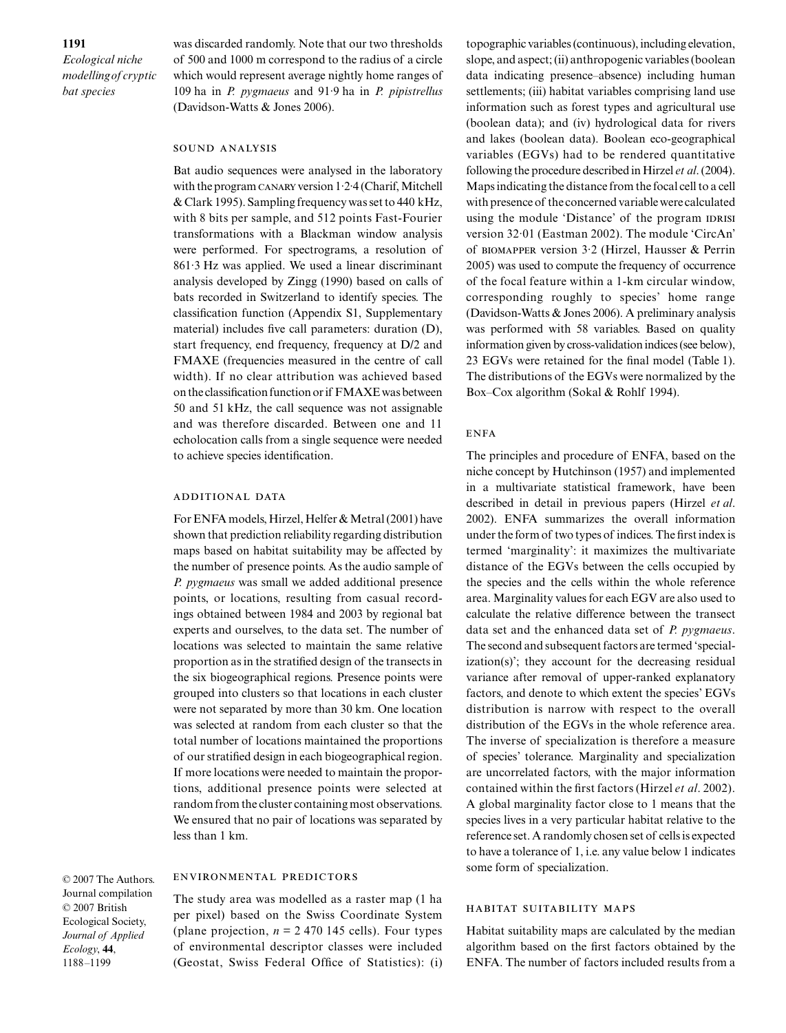was discarded randomly. Note that our two thresholds of 500 and 1000 m correspond to the radius of a circle which would represent average nightly home ranges of 109 ha in *P. pygmaeus* and 91·9 ha in *P. pipistrellus* (Davidson-Watts & Jones 2006).

#### sound analysis

Bat audio sequences were analysed in the laboratory with the program CANARY version  $1.2.4$  (Charif, Mitchell & Clark 1995). Sampling frequency was set to 440 kHz, with 8 bits per sample, and 512 points Fast-Fourier transformations with a Blackman window analysis were performed. For spectrograms, a resolution of 861·3 Hz was applied. We used a linear discriminant analysis developed by Zingg (1990) based on calls of bats recorded in Switzerland to identify species. The classification function (Appendix S1, Supplementary material) includes five call parameters: duration (D), start frequency, end frequency, frequency at D/2 and FMAXE (frequencies measured in the centre of call width). If no clear attribution was achieved based on the classification function or if FMAXE was between 50 and 51 kHz, the call sequence was not assignable and was therefore discarded. Between one and 11 echolocation calls from a single sequence were needed to achieve species identification.

# additional data

For ENFA models, Hirzel, Helfer & Metral (2001) have shown that prediction reliability regarding distribution maps based on habitat suitability may be affected by the number of presence points. As the audio sample of *P. pygmaeus* was small we added additional presence points, or locations, resulting from casual recordings obtained between 1984 and 2003 by regional bat experts and ourselves, to the data set. The number of locations was selected to maintain the same relative proportion as in the stratified design of the transects in the six biogeographical regions. Presence points were grouped into clusters so that locations in each cluster were not separated by more than 30 km. One location was selected at random from each cluster so that the total number of locations maintained the proportions of our stratified design in each biogeographical region. If more locations were needed to maintain the proportions, additional presence points were selected at random from the cluster containing most observations. We ensured that no pair of locations was separated by less than 1 km.

© 2007 The Authors. Journal compilation © 2007 British Ecological Society, *Journal of Applied Ecology*, **44**, 1188–1199

# environmental predictors

The study area was modelled as a raster map (1 ha per pixel) based on the Swiss Coordinate System (plane projection,  $n = 2470145$  cells). Four types of environmental descriptor classes were included (Geostat, Swiss Federal Office of Statistics): (i)

topographic variables (continuous), including elevation, slope, and aspect; (ii) anthropogenic variables (boolean data indicating presence–absence) including human settlements; (iii) habitat variables comprising land use information such as forest types and agricultural use (boolean data); and (iv) hydrological data for rivers and lakes (boolean data). Boolean eco-geographical variables (EGVs) had to be rendered quantitative following the procedure described in Hirzel *et al*. (2004). Maps indicating the distance from the focal cell to a cell with presence of the concerned variable were calculated using the module 'Distance' of the program IDRISI version 32·01 (Eastman 2002). The module 'CircAn' of biomapper version 3·2 (Hirzel, Hausser & Perrin 2005) was used to compute the frequency of occurrence of the focal feature within a 1-km circular window, corresponding roughly to species' home range (Davidson-Watts & Jones 2006). A preliminary analysis was performed with 58 variables. Based on quality information given by cross-validation indices (see below), 23 EGVs were retained for the final model (Table 1). The distributions of the EGVs were normalized by the Box–Cox algorithm (Sokal & Rohlf 1994).

#### **ENFA**

The principles and procedure of ENFA, based on the niche concept by Hutchinson (1957) and implemented in a multivariate statistical framework, have been described in detail in previous papers (Hirzel *et al*. 2002). ENFA summarizes the overall information under the form of two types of indices. The first index is termed 'marginality': it maximizes the multivariate distance of the EGVs between the cells occupied by the species and the cells within the whole reference area. Marginality values for each EGV are also used to calculate the relative difference between the transect data set and the enhanced data set of *P. pygmaeus*. The second and subsequent factors are termed 'specialization(s)'; they account for the decreasing residual variance after removal of upper-ranked explanatory factors, and denote to which extent the species' EGVs distribution is narrow with respect to the overall distribution of the EGVs in the whole reference area. The inverse of specialization is therefore a measure of species' tolerance. Marginality and specialization are uncorrelated factors, with the major information contained within the first factors (Hirzel *et al*. 2002). A global marginality factor close to 1 means that the species lives in a very particular habitat relative to the reference set. A randomly chosen set of cells is expected to have a tolerance of 1, i.e. any value below 1 indicates some form of specialization.

#### habitat suitability maps

Habitat suitability maps are calculated by the median algorithm based on the first factors obtained by the ENFA. The number of factors included results from a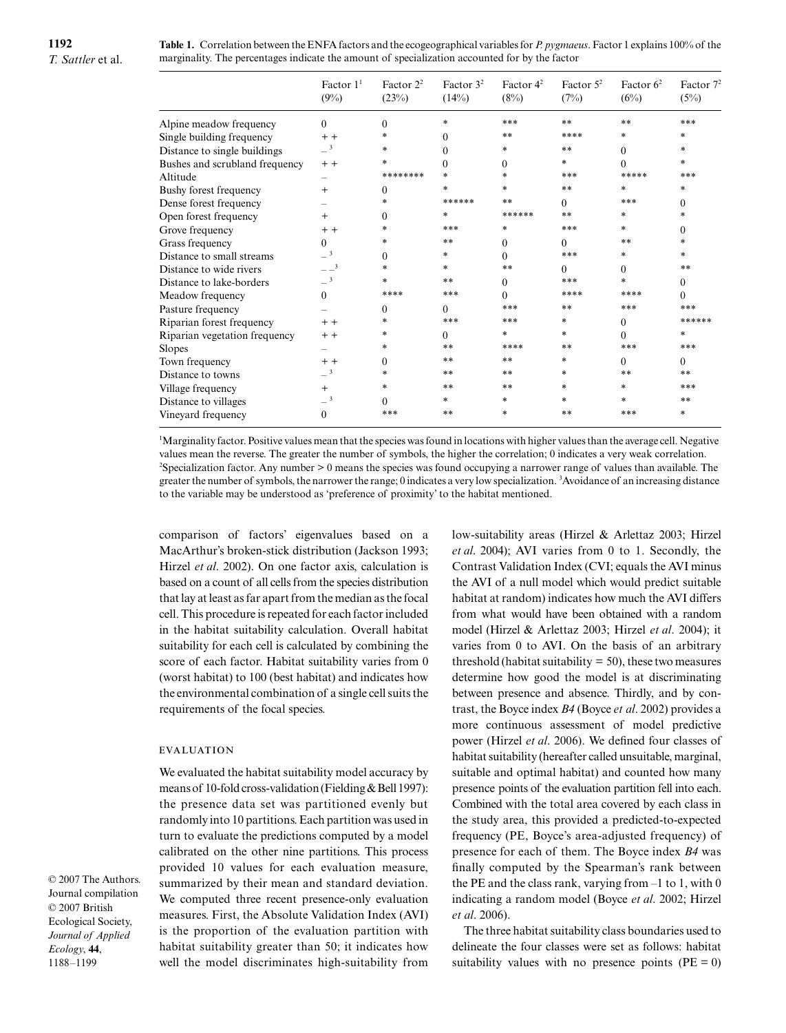**Table 1.** Correlation between the ENFA factors and the ecogeographical variables for *P. pygmaeus*. Factor 1 explains 100% of the marginality. The percentages indicate the amount of specialization accounted for by the factor

|                                | Factor $11$<br>(9%) | Factor $2^2$<br>(23%) | Factor $32$<br>(14%) | Factor $4^2$<br>(8%) | Factor $5^2$<br>(7%) | Factor $62$<br>(6%) | Factor $72$<br>(5%) |
|--------------------------------|---------------------|-----------------------|----------------------|----------------------|----------------------|---------------------|---------------------|
| Alpine meadow frequency        | $\Omega$            | $\Omega$              | ×.                   | ***                  | **                   | **                  | ***                 |
| Single building frequency      | $+ +$               |                       | 0                    | **                   | ****                 | *                   | $\ast$              |
| Distance to single buildings   | $-3$                | ×.                    | 0                    | $*$                  | **                   | $\Omega$            | $\ast$              |
| Bushes and scrubland frequency | $+ +$               |                       | 0                    | $\Omega$             | sk.                  | $\Omega$            | $\ast$              |
| Altitude                       |                     | ********              | ×.                   | $*$                  | ***                  | *****               | ***                 |
| Bushy forest frequency         | $+$                 | $\Omega$              | ×.                   | $*$                  | **                   | $\ast$              | $\ast$              |
| Dense forest frequency         |                     |                       | ******               | **                   | 0                    | ***                 | $\Omega$            |
| Open forest frequency          | $+$                 | 0                     | ж.                   | ******               | **                   | $*$                 | $\ast$              |
| Grove frequency                | $+ +$               |                       | ***                  | $*$                  | ***                  | $*$                 | $\Omega$            |
| Grass frequency                | $\Omega$            |                       | **                   | $\Omega$             | 0                    | **                  | $\ast$              |
| Distance to small streams      | $-3$                | 0                     | $\ast$               | $\Omega$             | ***                  | $\frac{1}{26}$      | $\ast$              |
| Distance to wide rivers        | $ -$ <sup>3</sup>   | ×.                    | $\ast$               | **                   | 0                    | $\Omega$            | **                  |
| Distance to lake-borders       | $-3$                | $\ast$                | **                   | $\Omega$             | ***                  | $*$                 | $\Omega$            |
| Meadow frequency               | $\Omega$            | ****                  | ***                  | $\Omega$             | ****                 | ****                | $\Omega$            |
| Pasture frequency              |                     | $\Omega$              | 0                    | ***                  | **                   | ***                 | ***                 |
| Riparian forest frequency      | $+ +$               |                       | ***                  | ***                  | ×.                   | $\Omega$            | ******              |
| Riparian vegetation frequency  | $+ +$               |                       | $\Omega$             | $\star$              | ×.                   | $\Omega$            | *                   |
| Slopes                         |                     | ×.                    | **                   | ****                 | **                   | ***                 | ***                 |
| Town frequency                 | $+ +$               | 0                     | **                   | **                   | $\ast$               | $\Omega$            | $\Omega$            |
| Distance to towns              | $-3$                | $\ast$                | **                   | **                   | $\ast$               | **                  | **                  |
| Village frequency              | $+$                 |                       | **                   | **                   | $\ast$               | $*$                 | ***                 |
| Distance to villages           | $-3$                | $\Omega$              | $\ast$               | $*$                  | $\ast$               | $*$                 | **                  |
| Vineyard frequency             | $\Omega$            | ***                   | **                   | $*$                  | **                   | ***                 | $\ast$              |

1 Marginality factor. Positive values mean that the species was found in locations with higher values than the average cell. Negative values mean the reverse. The greater the number of symbols, the higher the correlation; 0 indicates a very weak correlation. 2 Specialization factor. Any number > 0 means the species was found occupying a narrower range of values than available. The greater the number of symbols, the narrower the range; 0 indicates a very low specialization. <sup>3</sup> Avoidance of an increasing distance to the variable may be understood as 'preference of proximity' to the habitat mentioned.

comparison of factors' eigenvalues based on a MacArthur's broken-stick distribution (Jackson 1993; Hirzel *et al*. 2002). On one factor axis, calculation is based on a count of all cells from the species distribution that lay at least as far apart from the median as the focal cell. This procedure is repeated for each factor included in the habitat suitability calculation. Overall habitat suitability for each cell is calculated by combining the score of each factor. Habitat suitability varies from 0 (worst habitat) to 100 (best habitat) and indicates how the environmental combination of a single cell suits the requirements of the focal species.

# **EVALUATION**

We evaluated the habitat suitability model accuracy by means of 10-fold cross-validation (Fielding & Bell 1997): the presence data set was partitioned evenly but randomly into 10 partitions. Each partition was used in turn to evaluate the predictions computed by a model calibrated on the other nine partitions. This process provided 10 values for each evaluation measure, summarized by their mean and standard deviation. We computed three recent presence-only evaluation measures. First, the Absolute Validation Index (AVI) is the proportion of the evaluation partition with habitat suitability greater than 50; it indicates how well the model discriminates high-suitability from low-suitability areas (Hirzel & Arlettaz 2003; Hirzel *et al*. 2004); AVI varies from 0 to 1. Secondly, the Contrast Validation Index (CVI; equals the AVI minus the AVI of a null model which would predict suitable habitat at random) indicates how much the AVI differs from what would have been obtained with a random model (Hirzel & Arlettaz 2003; Hirzel *et al*. 2004); it varies from 0 to AVI. On the basis of an arbitrary threshold (habitat suitability  $= 50$ ), these two measures determine how good the model is at discriminating between presence and absence. Thirdly, and by contrast, the Boyce index *B4* (Boyce *et al*. 2002) provides a more continuous assessment of model predictive power (Hirzel *et al*. 2006). We defined four classes of habitat suitability (hereafter called unsuitable, marginal, suitable and optimal habitat) and counted how many presence points of the evaluation partition fell into each. Combined with the total area covered by each class in the study area, this provided a predicted-to-expected frequency (PE, Boyce's area-adjusted frequency) of presence for each of them. The Boyce index *B4* was finally computed by the Spearman's rank between the PE and the class rank, varying from  $-1$  to 1, with 0 indicating a random model (Boyce *et al*. 2002; Hirzel *et al*. 2006).

The three habitat suitability class boundaries used to delineate the four classes were set as follows: habitat suitability values with no presence points ( $PE = 0$ )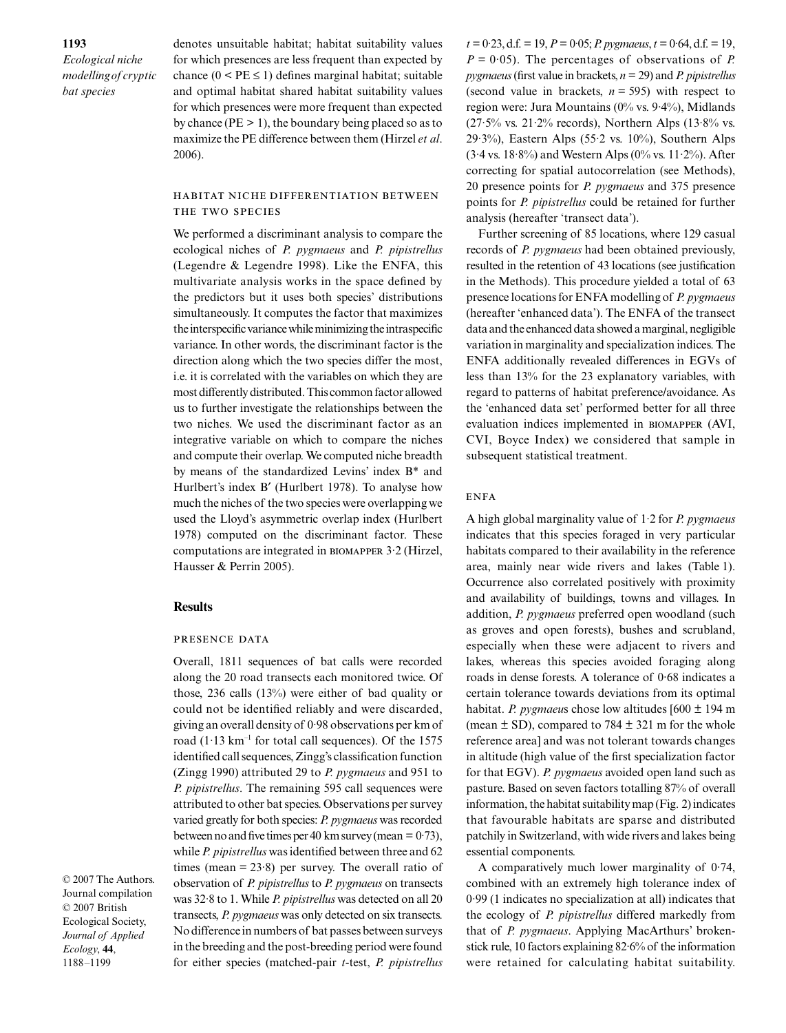denotes unsuitable habitat; habitat suitability values for which presences are less frequent than expected by chance  $(0 \le PE \le 1)$  defines marginal habitat; suitable and optimal habitat shared habitat suitability values for which presences were more frequent than expected by chance ( $PE > 1$ ), the boundary being placed so as to maximize the PE difference between them (Hirzel *et al*. 2006).

habitat niche differentiation between the two species

We performed a discriminant analysis to compare the ecological niches of *P. pygmaeus* and *P. pipistrellus* (Legendre & Legendre 1998). Like the ENFA, this multivariate analysis works in the space defined by the predictors but it uses both species' distributions simultaneously. It computes the factor that maximizes the interspecific variance while minimizing the intraspecific variance. In other words, the discriminant factor is the direction along which the two species differ the most, i.e. it is correlated with the variables on which they are most differently distributed. This common factor allowed us to further investigate the relationships between the two niches. We used the discriminant factor as an integrative variable on which to compare the niches and compute their overlap. We computed niche breadth by means of the standardized Levins' index B\* and Hurlbert's index B′ (Hurlbert 1978). To analyse how much the niches of the two species were overlapping we used the Lloyd's asymmetric overlap index (Hurlbert 1978) computed on the discriminant factor. These computations are integrated in biomapper 3·2 (Hirzel, Hausser & Perrin 2005).

#### **Results**

#### presence data

Overall, 1811 sequences of bat calls were recorded along the 20 road transects each monitored twice. Of those, 236 calls (13%) were either of bad quality or could not be identified reliably and were discarded, giving an overall density of 0·98 observations per km of road  $(1.13 \text{ km}^{-1}$  for total call sequences). Of the 1575 identified call sequences, Zingg's classification function (Zingg 1990) attributed 29 to *P. pygmaeus* and 951 to *P. pipistrellus*. The remaining 595 call sequences were attributed to other bat species. Observations per survey varied greatly for both species: *P. pygmaeus* was recorded between no and five times per 40 km survey (mean  $= 0.73$ ), while *P. pipistrellus* was identified between three and 62 times (mean  $= 23.8$ ) per survey. The overall ratio of observation of *P. pipistrellus* to *P. pygmaeus* on transects was 32·8 to 1. While *P. pipistrellus* was detected on all 20 transects, *P. pygmaeus* was only detected on six transects. No difference in numbers of bat passes between surveys in the breeding and the post-breeding period were found for either species (matched-pair *t*-test, *P. pipistrellus*

 $t = 0.23$ , d.f. = 19,  $P = 0.05$ ; *P. pygmaeus*,  $t = 0.64$ , d.f. = 19,  $P = 0.05$ . The percentages of observations of *P*. *pygmaeus* (first value in brackets, *n* = 29) and *P. pipistrellus* (second value in brackets,  $n = 595$ ) with respect to region were: Jura Mountains (0% vs. 9·4%), Midlands  $(27.5\% \text{ vs. } 21.2\% \text{ records})$ , Northern Alps  $(13.8\% \text{ vs. } 21.2\% \text{ records})$ 29·3%), Eastern Alps (55·2 vs.  $10\%$ ), Southern Alps  $(3.4 \text{ vs. } 18.8\%)$  and Western Alps  $(0\% \text{ vs. } 11.2\%)$ . After correcting for spatial autocorrelation (see Methods), 20 presence points for *P. pygmaeus* and 375 presence points for *P. pipistrellus* could be retained for further analysis (hereafter 'transect data').

Further screening of 85 locations, where 129 casual records of *P. pygmaeus* had been obtained previously, resulted in the retention of 43 locations (see justification in the Methods). This procedure yielded a total of 63 presence locations for ENFA modelling of *P. pygmaeus* (hereafter 'enhanced data'). The ENFA of the transect data and the enhanced data showed a marginal, negligible variation in marginality and specialization indices. The ENFA additionally revealed differences in EGVs of less than 13% for the 23 explanatory variables, with regard to patterns of habitat preference/avoidance. As the 'enhanced data set' performed better for all three evaluation indices implemented in biomapper (AVI, CVI, Boyce Index) we considered that sample in subsequent statistical treatment.

# **ENFA**

A high global marginality value of 1·2 for *P. pygmaeus* indicates that this species foraged in very particular habitats compared to their availability in the reference area, mainly near wide rivers and lakes (Table 1). Occurrence also correlated positively with proximity and availability of buildings, towns and villages. In addition, *P. pygmaeus* preferred open woodland (such as groves and open forests), bushes and scrubland, especially when these were adjacent to rivers and lakes, whereas this species avoided foraging along roads in dense forests. A tolerance of 0·68 indicates a certain tolerance towards deviations from its optimal habitat. *P. pygmaeu*s chose low altitudes [600 ± 194 m (mean  $\pm$  SD), compared to 784  $\pm$  321 m for the whole reference area] and was not tolerant towards changes in altitude (high value of the first specialization factor for that EGV). *P. pygmaeus* avoided open land such as pasture. Based on seven factors totalling 87% of overall information, the habitat suitability map (Fig. 2) indicates that favourable habitats are sparse and distributed patchily in Switzerland, with wide rivers and lakes being essential components.

A comparatively much lower marginality of 0·74, combined with an extremely high tolerance index of 0·99 (1 indicates no specialization at all) indicates that the ecology of *P. pipistrellus* differed markedly from that of *P. pygmaeus*. Applying MacArthurs' brokenstick rule, 10 factors explaining 82·6% of the information were retained for calculating habitat suitability.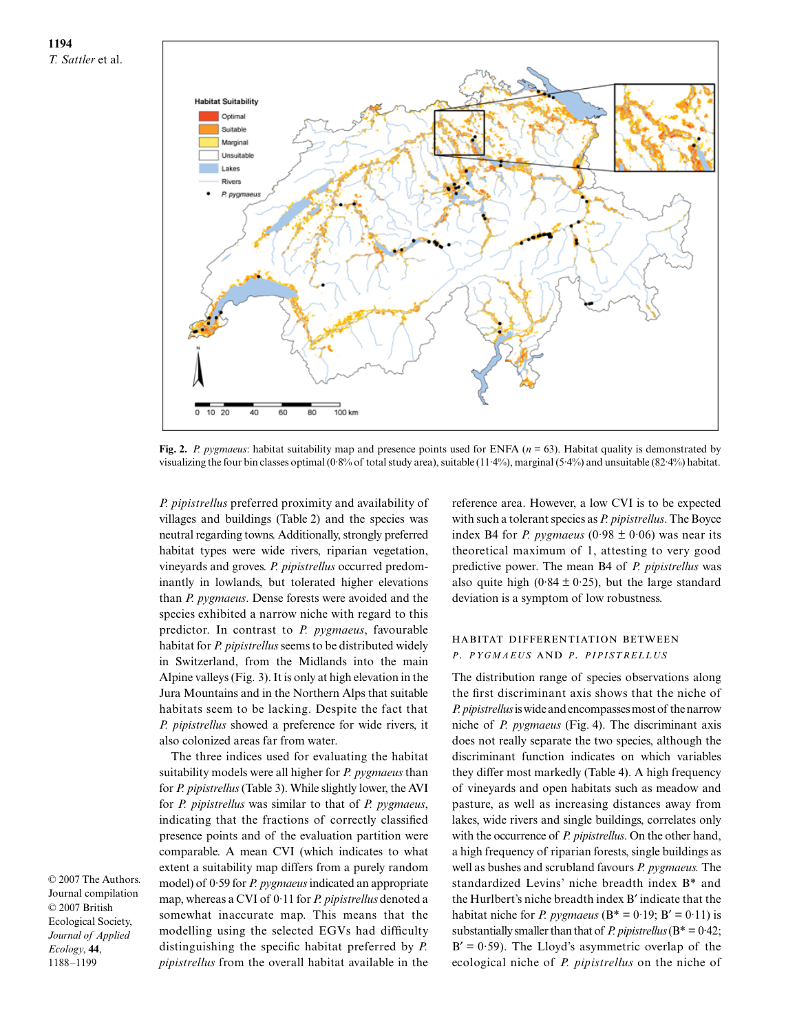# **1194** *T. Sattler* et al.



**Fig. 2.** *P. pygmaeus*: habitat suitability map and presence points used for ENFA (*n* = 63). Habitat quality is demonstrated by visualizing the four bin classes optimal (0·8% of total study area), suitable (11·4%), marginal (5·4%) and unsuitable (82·4%) habitat.

*P. pipistrellus* preferred proximity and availability of villages and buildings (Table 2) and the species was neutral regarding towns. Additionally, strongly preferred habitat types were wide rivers, riparian vegetation, vineyards and groves. *P. pipistrellus* occurred predominantly in lowlands, but tolerated higher elevations than *P. pygmaeus*. Dense forests were avoided and the species exhibited a narrow niche with regard to this predictor. In contrast to *P. pygmaeus*, favourable habitat for *P. pipistrellus* seems to be distributed widely in Switzerland, from the Midlands into the main Alpine valleys (Fig. 3). It is only at high elevation in the Jura Mountains and in the Northern Alps that suitable habitats seem to be lacking. Despite the fact that *P. pipistrellus* showed a preference for wide rivers, it also colonized areas far from water.

The three indices used for evaluating the habitat suitability models were all higher for *P. pygmaeus* than for *P. pipistrellus* (Table 3). While slightly lower, the AVI for *P. pipistrellus* was similar to that of *P. pygmaeus*, indicating that the fractions of correctly classified presence points and of the evaluation partition were comparable. A mean CVI (which indicates to what extent a suitability map differs from a purely random model) of 0·59 for *P. pygmaeus* indicated an appropriate map, whereas a CVI of 0·11 for *P. pipistrellus* denoted a somewhat inaccurate map. This means that the modelling using the selected EGVs had difficulty distinguishing the specific habitat preferred by *P. pipistrellus* from the overall habitat available in the

reference area. However, a low CVI is to be expected with such a tolerant species as *P. pipistrellus*. The Boyce index B4 for *P. pygmaeus* ( $0.98 \pm 0.06$ ) was near its theoretical maximum of 1, attesting to very good predictive power. The mean B4 of *P. pipistrellus* was also quite high (0.84  $\pm$  0.25), but the large standard deviation is a symptom of low robustness.

# habitat differentiation between *P. PYGMAEUS* and *P. PIPISTRELLUS*

The distribution range of species observations along the first discriminant axis shows that the niche of *P. pipistrellus* is wide and encompasses most of the narrow niche of *P. pygmaeus* (Fig. 4). The discriminant axis does not really separate the two species, although the discriminant function indicates on which variables they differ most markedly (Table 4). A high frequency of vineyards and open habitats such as meadow and pasture, as well as increasing distances away from lakes, wide rivers and single buildings, correlates only with the occurrence of *P. pipistrellus*. On the other hand, a high frequency of riparian forests, single buildings as well as bushes and scrubland favours *P. pygmaeus.* The standardized Levins' niche breadth index B\* and the Hurlbert's niche breadth index B′ indicate that the habitat niche for *P. pygmaeus* ( $B^* = 0.19$ ;  $B' = 0.11$ ) is substantially smaller than that of *P. pipistrellus* (B\* = 0·42;  $B' = 0.59$ ). The Lloyd's asymmetric overlap of the ecological niche of *P. pipistrellus* on the niche of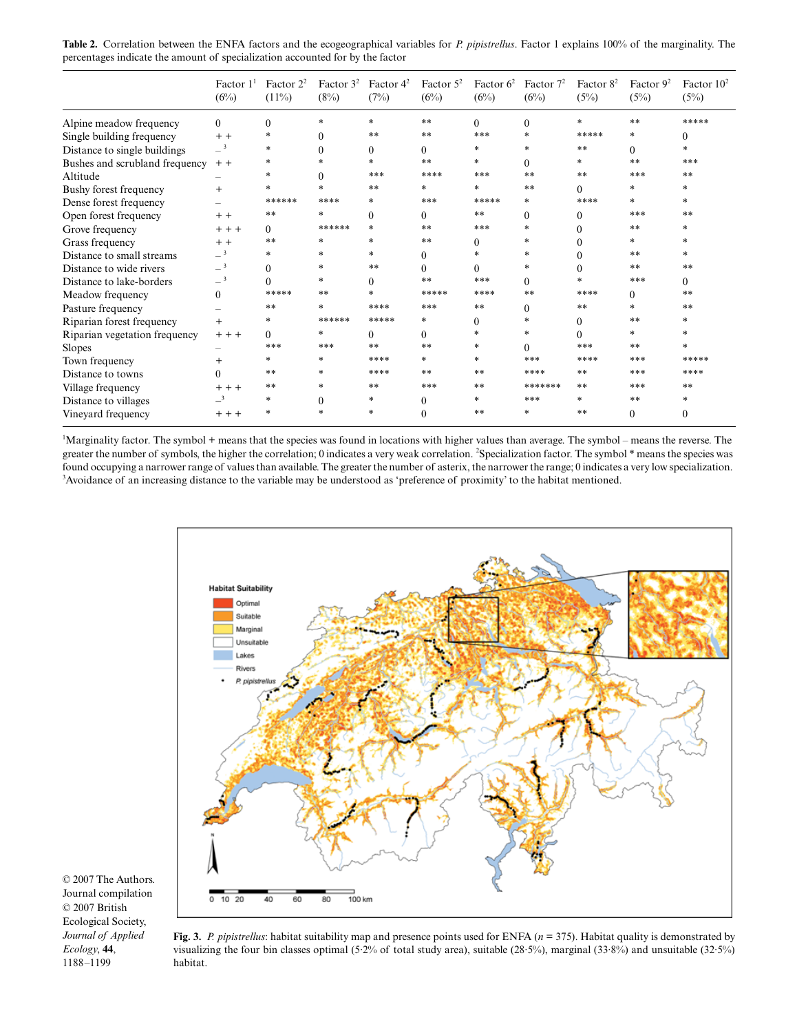| Table 2. Correlation between the ENFA factors and the ecogeographical variables for P. pipistrellus. Factor 1 explains 100% of the marginality. The |  |
|-----------------------------------------------------------------------------------------------------------------------------------------------------|--|
| percentages indicate the amount of specialization accounted for by the factor                                                                       |  |

|                                | Factor $11$<br>(6%)        | Factor $2^2$<br>$(11\%)$ | Factor $3^2$ Factor $4^2$<br>(8%) | (7%)     | Factor $5^2$<br>(6%) | Factor $6^2$<br>(6%) | Factor $7^2$<br>(6%) | Factor $8^2$<br>(5%) | Factor $9^2$<br>(5%) | Factor $102$<br>(5%) |
|--------------------------------|----------------------------|--------------------------|-----------------------------------|----------|----------------------|----------------------|----------------------|----------------------|----------------------|----------------------|
| Alpine meadow frequency        | $\Omega$                   | $\Omega$                 | *                                 | $\ast$   | **                   | $\Omega$             | $\Omega$             | $\ast$               | **                   | *****                |
| Single building frequency      | $+ +$                      | *                        | $\Omega$                          | **       | **                   | ***                  | $\ast$               | *****                | *                    | $\Omega$             |
| Distance to single buildings   | $-3$                       | $*$                      |                                   | 0        | $\Omega$             | *                    |                      | **                   | 0                    | sk.                  |
| Bushes and scrubland frequency | $+ +$                      | *                        | sk.                               | $\ast$   | **                   | $*$                  | $\Omega$             | $*$                  | **                   | ***                  |
| Altitude                       |                            |                          | $\Omega$                          | ***      | ****                 | ***                  | **                   | **                   | ***                  | **                   |
| Bushy forest frequency         | $^{+}$                     | $*$                      |                                   | **       | $\ast$               | $*$                  | **                   | $\theta$             | $*$                  | ×.                   |
| Dense forest frequency         |                            | ******                   | ****                              | $*$      | ***                  | *****                | *                    | ****                 | $*$                  | $\ast$               |
| Open forest frequency          | $+ +$                      | **                       |                                   | $\Omega$ | $\Omega$             | **                   | $\Omega$             | $\Omega$             | ***                  | **                   |
| Grove frequency                | $+ + +$                    | 0                        | ******                            | *        | **                   | ***                  | $\star$              | 0                    | **                   | ż                    |
| Grass frequency                | $+ +$                      | **                       | ×                                 | $*$      | **                   | 0                    | $\ast$               |                      | $*$                  | sk:                  |
| Distance to small streams      | $-3$                       | $*$                      | ż                                 | *        | $\Omega$             | *                    |                      | $\Omega$             | **                   | sk.                  |
| Distance to wide rivers        | $-3$                       | $\Omega$                 | *                                 | **       | $\Omega$             | 0                    | *                    | 0                    | **                   | **                   |
| Distance to lake-borders       | $-3$                       | 0                        | ×.                                | 0        | **                   | ***                  | $\Omega$             | 业                    | ***                  | 0                    |
| Meadow frequency               | $\Omega$                   | *****                    | **                                |          | *****                | ****                 | **                   | ****                 | $\Omega$             | **                   |
| Pasture frequency              |                            | **                       | $\ast$                            | ****     | ***                  | **                   | $\Omega$             | **                   | $*$                  | **                   |
| Riparian forest frequency      | $^{+}$                     | $\ast$                   | ******                            | *****    | $*$                  | 0                    | $\mathcal{M}$        | 0                    | **                   | $\ast$               |
| Riparian vegetation frequency  | $++$                       | 0                        | *                                 | $\Omega$ | $\Omega$             | $*$                  | ÷.                   | 0                    | $*$                  | ż                    |
| Slopes                         |                            | ***                      | ***                               | **       | **                   | $*$                  | $\Omega$             | ***                  | **                   |                      |
| Town frequency                 | $^{+}$                     | *                        | $\ast$                            | ****     | *                    | $*$                  | ***                  | ****                 | ***                  | *****                |
| Distance to towns              | 0                          | **                       | $\ast$                            | ****     | **                   | **                   | ****                 | **                   | ***                  | ****                 |
| Village frequency              | $++$                       | **                       | ż                                 | **       | ***                  | **                   | *******              | **                   | ***                  | **                   |
| Distance to villages           | $\overline{\phantom{0}}^3$ | $*$                      | $\Omega$                          | *        | $\Omega$             | $\ast$               | ***                  | 业                    | **                   | sk.                  |
| Vineyard frequency             | $+ + +$                    | $\ast$                   |                                   | *        | $\Omega$             | **                   | ×.                   | **                   | $\Omega$             | $\Omega$             |

1 Marginality factor. The symbol + means that the species was found in locations with higher values than average. The symbol – means the reverse. The greater the number of symbols, the higher the correlation; 0 indicates a very weak correlation. <sup>2</sup>Specialization factor. The symbol \* means the species was found occupying a narrower range of values than available. The greater the number of asterix, the narrower the range; 0 indicates a very low specialization. 3 <sup>3</sup> Avoidance of an increasing distance to the variable may be understood as 'preference of proximity' to the habitat mentioned.



**Fig. 3.** *P. pipistrellus*: habitat suitability map and presence points used for ENFA ( $n = 375$ ). Habitat quality is demonstrated by visualizing the four bin classes optimal (5·2% of total study area), suitable (28·5%), marginal (33·8%) and unsuitable (32·5%) habitat.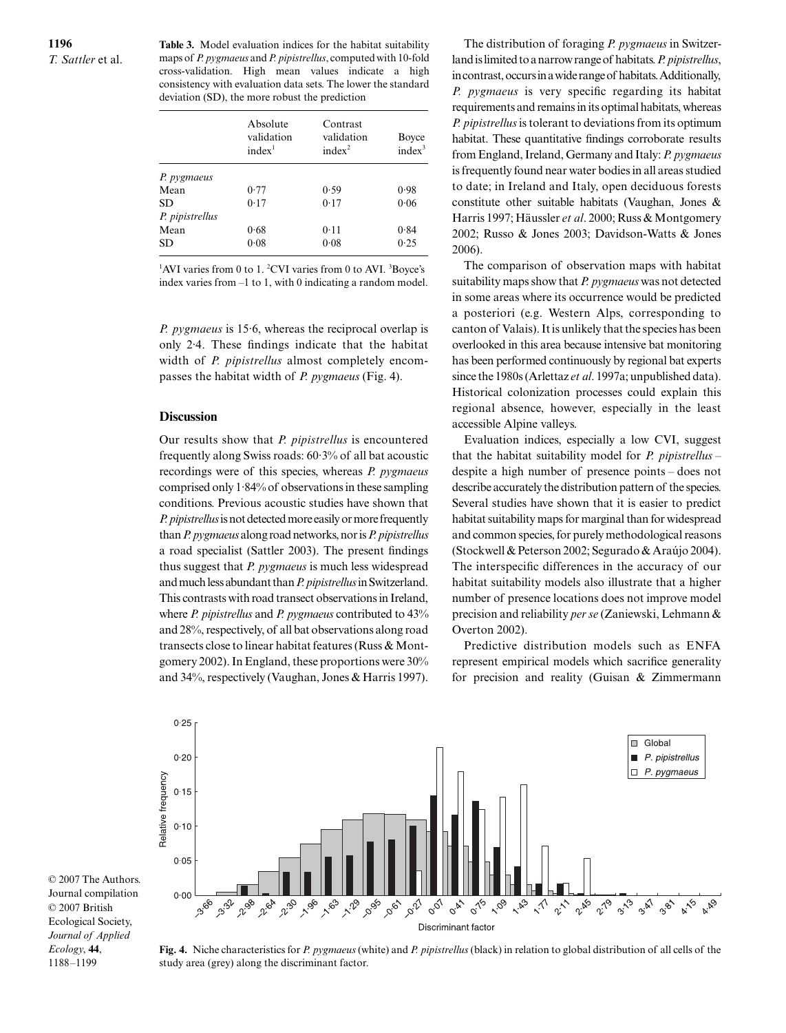**Table 3.** Model evaluation indices for the habitat suitability maps of *P. pygmaeus* and *P. pipistrellus*, computed with 10-fold cross-validation. High mean values indicate a high consistency with evaluation data sets. The lower the standard deviation (SD), the more robust the prediction

|                 | Absolute<br>validation<br>index <sup>1</sup> | Contrast<br>validation<br>index <sup>2</sup> | Boyce<br>index <sup>3</sup> |
|-----------------|----------------------------------------------|----------------------------------------------|-----------------------------|
| P. pygmaeus     |                                              |                                              |                             |
| Mean            | 0.77                                         | 0.59                                         | 0.98                        |
| SD              | 0.17                                         | 0.17                                         | 0.06                        |
| P. pipistrellus |                                              |                                              |                             |
| Mean            | 0.68                                         | 0.11                                         | 0.84                        |
| SD              | 0.08                                         | 0.08                                         | 0.25                        |

<sup>1</sup>AVI varies from 0 to 1. <sup>2</sup>CVI varies from 0 to AVI. <sup>3</sup>Boyce's index varies from –1 to 1, with 0 indicating a random model.

*P. pygmaeus* is 15·6, whereas the reciprocal overlap is only 2·4. These findings indicate that the habitat width of *P. pipistrellus* almost completely encompasses the habitat width of *P. pygmaeus* (Fig. 4).

# **Discussion**

Our results show that *P. pipistrellus* is encountered frequently along Swiss roads: 60·3% of all bat acoustic recordings were of this species, whereas *P. pygmaeus* comprised only 1·84% of observations in these sampling conditions. Previous acoustic studies have shown that *P. pipistrellus* is not detected more easily or more frequently than *P. pygmaeus* along road networks, nor is *P. pipistrellus* a road specialist (Sattler 2003). The present findings thus suggest that *P. pygmaeus* is much less widespread and much less abundant than *P. pipistrellus* in Switzerland. This contrasts with road transect observations in Ireland, where *P. pipistrellus* and *P. pygmaeus* contributed to 43% and 28%, respectively, of all bat observations along road transects close to linear habitat features (Russ & Montgomery 2002). In England, these proportions were 30% and 34%, respectively (Vaughan, Jones & Harris 1997).

The distribution of foraging *P. pygmaeus* in Switzerland is limited to a narrow range of habitats. *P. pipistrellus*, in contrast, occurs in a wide range of habitats. Additionally, *P. pygmaeus* is very specific regarding its habitat requirements and remains in its optimal habitats, whereas *P. pipistrellus* is tolerant to deviations from its optimum habitat. These quantitative findings corroborate results from England, Ireland, Germany and Italy: *P. pygmaeus* is frequently found near water bodies in all areas studied to date; in Ireland and Italy, open deciduous forests constitute other suitable habitats (Vaughan, Jones & Harris 1997; Häussler *et al*. 2000; Russ & Montgomery 2002; Russo & Jones 2003; Davidson-Watts & Jones 2006).

The comparison of observation maps with habitat suitability maps show that *P. pygmaeus* was not detected in some areas where its occurrence would be predicted a posteriori (e.g. Western Alps, corresponding to canton of Valais). It is unlikely that the species has been overlooked in this area because intensive bat monitoring has been performed continuously by regional bat experts since the 1980s (Arlettaz *et al*. 1997a; unpublished data). Historical colonization processes could explain this regional absence, however, especially in the least accessible Alpine valleys.

Evaluation indices, especially a low CVI, suggest that the habitat suitability model for *P. pipistrellus –* despite a high number of presence points – does not describe accurately the distribution pattern of the species. Several studies have shown that it is easier to predict habitat suitability maps for marginal than for widespread and common species, for purely methodological reasons (Stockwell & Peterson 2002; Segurado & Araújo 2004). The interspecific differences in the accuracy of our habitat suitability models also illustrate that a higher number of presence locations does not improve model precision and reliability *per se* (Zaniewski, Lehmann & Overton 2002).

Predictive distribution models such as ENFA represent empirical models which sacrifice generality for precision and reality (Guisan & Zimmermann



© 2007 The Authors. Journal compilation © 2007 British Ecological Society, *Journal of Applied Ecology*, **44**, 1188–1199

**Fig. 4.** Niche characteristics for *P. pygmaeus* (white) and *P. pipistrellus* (black) in relation to global distribution of all cells of the study area (grey) along the discriminant factor.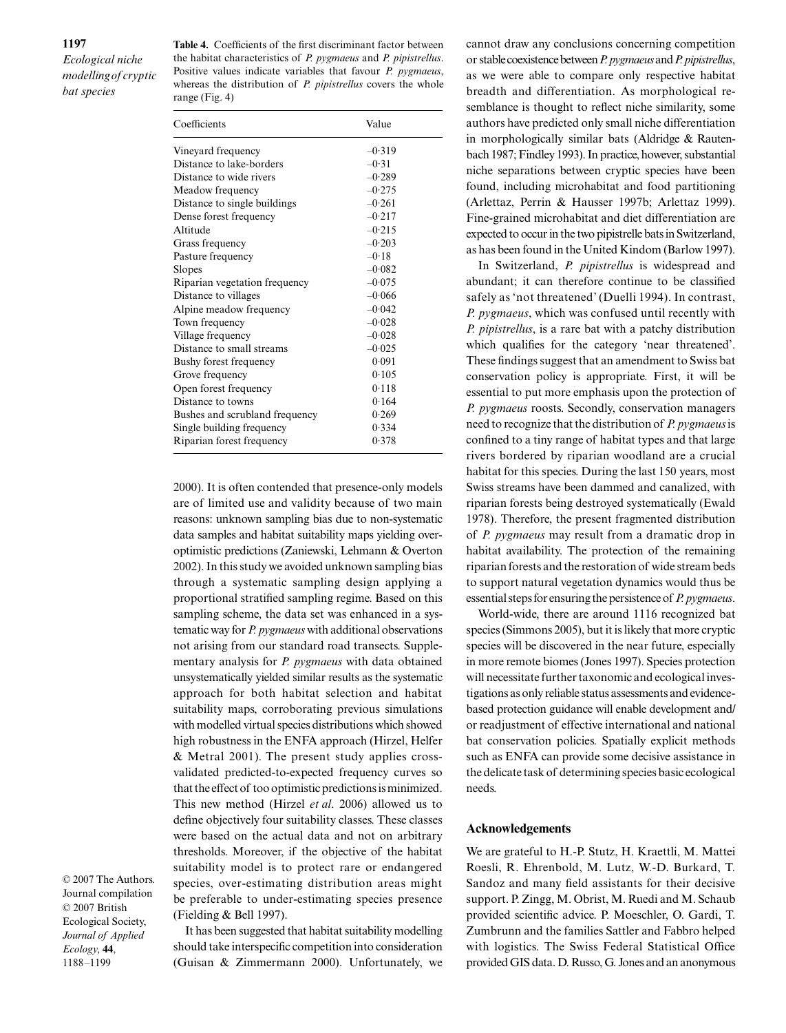**Table 4.** Coefficients of the first discriminant factor between the habitat characteristics of *P. pygmaeus* and *P. pipistrellus*. Positive values indicate variables that favour *P. pygmaeus*, whereas the distribution of *P. pipistrellus* covers the whole range (Fig. 4)

| Coefficients                   | Value    |
|--------------------------------|----------|
| Vineyard frequency             | $-0.319$ |
| Distance to lake-borders       | $-0.31$  |
| Distance to wide rivers        | $-0.289$ |
| Meadow frequency               | $-0.275$ |
| Distance to single buildings   | $-0.261$ |
| Dense forest frequency         | $-0.217$ |
| Altitude                       | $-0.215$ |
| Grass frequency                | $-0.203$ |
| Pasture frequency              | $-0.18$  |
| Slopes                         | $-0.082$ |
| Riparian vegetation frequency  | $-0.075$ |
| Distance to villages           | $-0.066$ |
| Alpine meadow frequency        | $-0.042$ |
| Town frequency                 | $-0.028$ |
| Village frequency              | $-0.028$ |
| Distance to small streams      | $-0.025$ |
| Bushy forest frequency         | 0.091    |
| Grove frequency                | 0.105    |
| Open forest frequency          | 0.118    |
| Distance to towns              | 0.164    |
| Bushes and scrubland frequency | 0.269    |
| Single building frequency      | 0.334    |
| Riparian forest frequency      | 0.378    |

2000). It is often contended that presence-only models are of limited use and validity because of two main reasons: unknown sampling bias due to non-systematic data samples and habitat suitability maps yielding overoptimistic predictions (Zaniewski, Lehmann & Overton 2002). In this study we avoided unknown sampling bias through a systematic sampling design applying a proportional stratified sampling regime. Based on this sampling scheme, the data set was enhanced in a systematic way for *P. pygmaeus* with additional observations not arising from our standard road transects. Supplementary analysis for *P. pygmaeus* with data obtained unsystematically yielded similar results as the systematic approach for both habitat selection and habitat suitability maps, corroborating previous simulations with modelled virtual species distributions which showed high robustness in the ENFA approach (Hirzel, Helfer & Metral 2001). The present study applies crossvalidated predicted-to-expected frequency curves so that the effect of too optimistic predictions is minimized. This new method (Hirzel *et al*. 2006) allowed us to define objectively four suitability classes. These classes were based on the actual data and not on arbitrary thresholds. Moreover, if the objective of the habitat suitability model is to protect rare or endangered species, over-estimating distribution areas might be preferable to under-estimating species presence (Fielding & Bell 1997).

© 2007 The Authors. Journal compilation © 2007 British Ecological Society, *Journal of Applied Ecology*, **44**, 1188–1199

It has been suggested that habitat suitability modelling should take interspecific competition into consideration (Guisan & Zimmermann 2000). Unfortunately, we cannot draw any conclusions concerning competition or stable coexistence between *P. pygmaeus* and *P. pipistrellus*, as we were able to compare only respective habitat breadth and differentiation. As morphological resemblance is thought to reflect niche similarity, some authors have predicted only small niche differentiation in morphologically similar bats (Aldridge & Rautenbach 1987; Findley 1993). In practice, however, substantial niche separations between cryptic species have been found, including microhabitat and food partitioning (Arlettaz, Perrin & Hausser 1997b; Arlettaz 1999). Fine-grained microhabitat and diet differentiation are expected to occur in the two pipistrelle bats in Switzerland, as has been found in the United Kindom (Barlow 1997).

In Switzerland, *P. pipistrellus* is widespread and abundant; it can therefore continue to be classified safely as 'not threatened' (Duelli 1994). In contrast, *P. pygmaeus*, which was confused until recently with *P. pipistrellus*, is a rare bat with a patchy distribution which qualifies for the category 'near threatened'. These findings suggest that an amendment to Swiss bat conservation policy is appropriate. First, it will be essential to put more emphasis upon the protection of *P. pygmaeus* roosts. Secondly, conservation managers need to recognize that the distribution of *P. pygmaeus* is confined to a tiny range of habitat types and that large rivers bordered by riparian woodland are a crucial habitat for this species. During the last 150 years, most Swiss streams have been dammed and canalized, with riparian forests being destroyed systematically (Ewald 1978). Therefore, the present fragmented distribution of *P. pygmaeus* may result from a dramatic drop in habitat availability. The protection of the remaining riparian forests and the restoration of wide stream beds to support natural vegetation dynamics would thus be essential steps for ensuring the persistence of *P. pygmaeus*.

World-wide, there are around 1116 recognized bat species (Simmons 2005), but it is likely that more cryptic species will be discovered in the near future, especially in more remote biomes (Jones 1997). Species protection will necessitate further taxonomic and ecological investigations as only reliable status assessments and evidencebased protection guidance will enable development and/ or readjustment of effective international and national bat conservation policies. Spatially explicit methods such as ENFA can provide some decisive assistance in the delicate task of determining species basic ecological needs.

# **Acknowledgements**

We are grateful to H.-P. Stutz, H. Kraettli, M. Mattei Roesli, R. Ehrenbold, M. Lutz, W.-D. Burkard, T. Sandoz and many field assistants for their decisive support. P. Zingg, M. Obrist, M. Ruedi and M. Schaub provided scientific advice. P. Moeschler, O. Gardi, T. Zumbrunn and the families Sattler and Fabbro helped with logistics. The Swiss Federal Statistical Office provided GIS data. D. Russo, G. Jones and an anonymous

#### **1197**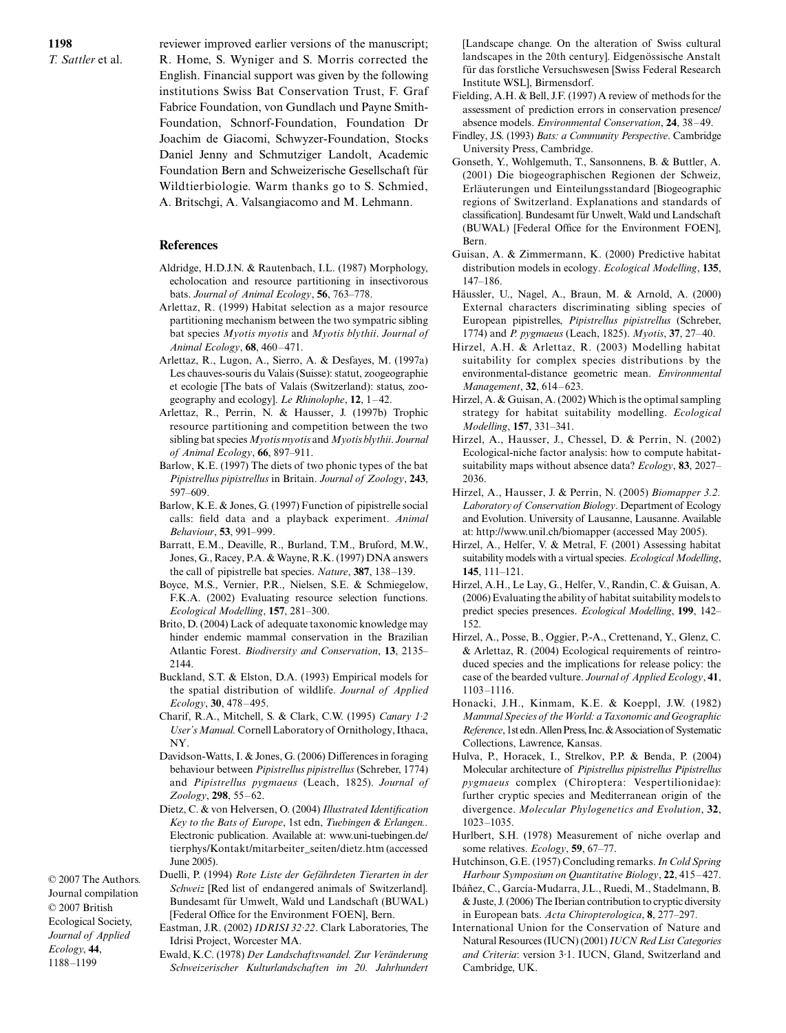**1198** *T. Sattler* et al. reviewer improved earlier versions of the manuscript; R. Home, S. Wyniger and S. Morris corrected the English. Financial support was given by the following institutions Swiss Bat Conservation Trust, F. Graf Fabrice Foundation, von Gundlach und Payne Smith-Foundation, Schnorf-Foundation, Foundation Dr Joachim de Giacomi, Schwyzer-Foundation, Stocks Daniel Jenny and Schmutziger Landolt, Academic Foundation Bern and Schweizerische Gesellschaft für Wildtierbiologie. Warm thanks go to S. Schmied, A. Britschgi, A. Valsangiacomo and M. Lehmann.

# **References**

- Aldridge, H.D.J.N. & Rautenbach, I.L. (1987) Morphology, echolocation and resource partitioning in insectivorous bats. *Journal of Animal Ecology*, **56**, 763–778.
- Arlettaz, R. (1999) Habitat selection as a major resource partitioning mechanism between the two sympatric sibling bat species *Myotis myotis* and *Myotis blythii*. *Journal of Animal Ecology*, **68**, 460–471.
- Arlettaz, R., Lugon, A., Sierro, A. & Desfayes, M. (1997a) Les chauves-souris du Valais (Suisse): statut, zoogeographie et ecologie [The bats of Valais (Switzerland): status, zoogeography and ecology]. *Le Rhinolophe*, **12**, 1–42.
- Arlettaz, R., Perrin, N. & Hausser, J. (1997b) Trophic resource partitioning and competition between the two sibling bat species *Myotis myotis* and *Myotis blythii*. *Journal of Animal Ecology*, **66**, 897–911.
- Barlow, K.E. (1997) The diets of two phonic types of the bat *Pipistrellus pipistrellus* in Britain. *Journal of Zoology*, **243**, 597–609.
- Barlow, K.E. & Jones, G. (1997) Function of pipistrelle social calls: field data and a playback experiment. *Animal Behaviour*, **53**, 991–999.
- Barratt, E.M., Deaville, R., Burland, T.M., Bruford, M.W., Jones, G., Racey, P.A. & Wayne, R.K. (1997) DNA answers the call of pipistrelle bat species. *Nature*, **387**, 138–139.
- Boyce, M.S., Vernier, P.R., Nielsen, S.E. & Schmiegelow, F.K.A. (2002) Evaluating resource selection functions. *Ecological Modelling*, **157**, 281–300.
- Brito, D. (2004) Lack of adequate taxonomic knowledge may hinder endemic mammal conservation in the Brazilian Atlantic Forest. *Biodiversity and Conservation*, **13**, 2135– 2144.
- Buckland, S.T. & Elston, D.A. (1993) Empirical models for the spatial distribution of wildlife. *Journal of Applied Ecology*, **30**, 478–495.
- Charif, R.A., Mitchell, S. & Clark, C.W. (1995) *Canary 1·2 User's Manual.* Cornell Laboratory of Ornithology, Ithaca, NY.
- Davidson-Watts, I. & Jones, G. (2006) Differences in foraging behaviour between *Pipistrellus pipistrellus* (Schreber, 1774) and *Pipistrellus pygmaeus* (Leach, 1825). *Journal of Zoology*, **298**, 55–62.
- Dietz, C. & von Helversen, O. (2004) *Illustrated Identification Key to the Bats of Europe*, 1st edn, *Tuebingen & Erlangen..* Electronic publication. Available at: www.uni-tuebingen.de/ tierphys/Kontakt/mitarbeiter\_seiten/dietz.htm (accessed June 2005).

© 2007 The Authors. Journal compilation © 2007 British Ecological Society, *Journal of Applied Ecology*, **44**, Duelli, P. (1994) *Rote Liste der Gefährdeten Tierarten in der Schweiz* [Red list of endangered animals of Switzerland]. Bundesamt für Umwelt, Wald und Landschaft (BUWAL) [Federal Office for the Environment FOEN], Bern. Eastman, J.R. (2002) *IDRISI 32·22*. Clark Laboratories, The Idrisi Project, Worcester MA.

1188–1199

Ewald, K.C. (1978) *Der Landschaftswandel. Zur Veränderung Schweizerischer Kulturlandschaften im 20. Jahrhundert*

[Landscape change. On the alteration of Swiss cultural landscapes in the 20th century]. Eidgenössische Anstalt für das forstliche Versuchswesen [Swiss Federal Research Institute WSL], Birmensdorf.

- Fielding, A.H. & Bell, J.F. (1997) A review of methods for the assessment of prediction errors in conservation presence/ absence models. *Environmental Conservation*, **24**, 38–49.
- Findley, J.S. (1993) *Bats: a Community Perspective*. Cambridge University Press, Cambridge.
- Gonseth, Y., Wohlgemuth, T., Sansonnens, B. & Buttler, A. (2001) Die biogeographischen Regionen der Schweiz, Erläuterungen und Einteilungsstandard [Biogeographic regions of Switzerland. Explanations and standards of classification]. Bundesamt für Unwelt, Wald und Landschaft (BUWAL) [Federal Office for the Environment FOEN], Bern.
- Guisan, A. & Zimmermann, K. (2000) Predictive habitat distribution models in ecology. *Ecological Modelling*, **135**, 147–186.
- Häussler, U., Nagel, A., Braun, M. & Arnold, A. (2000) External characters discriminating sibling species of European pipistrelles, *Pipistrellus pipistrellus* (Schreber, 1774) and *P. pygmaeus* (Leach, 1825). *Myotis*, **37**, 27–40.
- Hirzel, A.H. & Arlettaz, R. (2003) Modelling habitat suitability for complex species distributions by the environmental-distance geometric mean. *Environmental Management*, **32**, 614–623.
- Hirzel, A. & Guisan, A. (2002) Which is the optimal sampling strategy for habitat suitability modelling. *Ecological Modelling*, **157**, 331–341.
- Hirzel, A., Hausser, J., Chessel, D. & Perrin, N. (2002) Ecological-niche factor analysis: how to compute habitatsuitability maps without absence data? *Ecology*, **83**, 2027– 2036.
- Hirzel, A., Hausser, J. & Perrin, N. (2005) *Biomapper 3.2. Laboratory of Conservation Biology*. Department of Ecology and Evolution. University of Lausanne, Lausanne. Available at: <http://www.unil.ch/biomapper>(accessed May 2005).
- Hirzel, A., Helfer, V. & Metral, F. (2001) Assessing habitat suitability models with a virtual species. *Ecological Modelling*, **145**, 111–121.
- Hirzel, A.H., Le Lay, G., Helfer, V., Randin, C. & Guisan, A. (2006) Evaluating the ability of habitat suitability models to predict species presences. *Ecological Modelling*, **199**, 142– 152.
- Hirzel, A., Posse, B., Oggier, P.-A., Crettenand, Y., Glenz, C. & Arlettaz, R. (2004) Ecological requirements of reintroduced species and the implications for release policy: the case of the bearded vulture. *Journal of Applied Ecology*, **41**, 1103–1116.
- Honacki, J.H., Kinmam, K.E. & Koeppl, J.W. (1982) *Mammal Species of the World: a Taxonomic and Geographic Reference*, 1st edn. Allen Press, Inc. & Association of Systematic Collections, Lawrence, Kansas.
- Hulva, P., Horacek, I., Strelkov, P.P. & Benda, P. (2004) Molecular architecture of *Pipistrellus pipistrellus Pipistrellus pygmaeus* complex (Chiroptera: Vespertilionidae): further cryptic species and Mediterranean origin of the divergence. *Molecular Phylogenetics and Evolution*, **32**, 1023–1035.
- Hurlbert, S.H. (1978) Measurement of niche overlap and some relatives. *Ecology*, **59**, 67–77.
- Hutchinson, G.E. (1957) Concluding remarks. *In Cold Spring Harbour Symposium on Quantitative Biology*, **22**, 415–427.
- Ibáñez, C., García-Mudarra, J.L., Ruedi, M., Stadelmann, B. & Juste, J. (2006) The Iberian contribution to cryptic diversity in European bats. *Acta Chiropterologica*, **8**, 277–297.
- International Union for the Conservation of Nature and Natural Resources (IUCN) (2001) *IUCN Red List Categories and Criteria*: version 3·1. IUCN, Gland, Switzerland and Cambridge, UK.